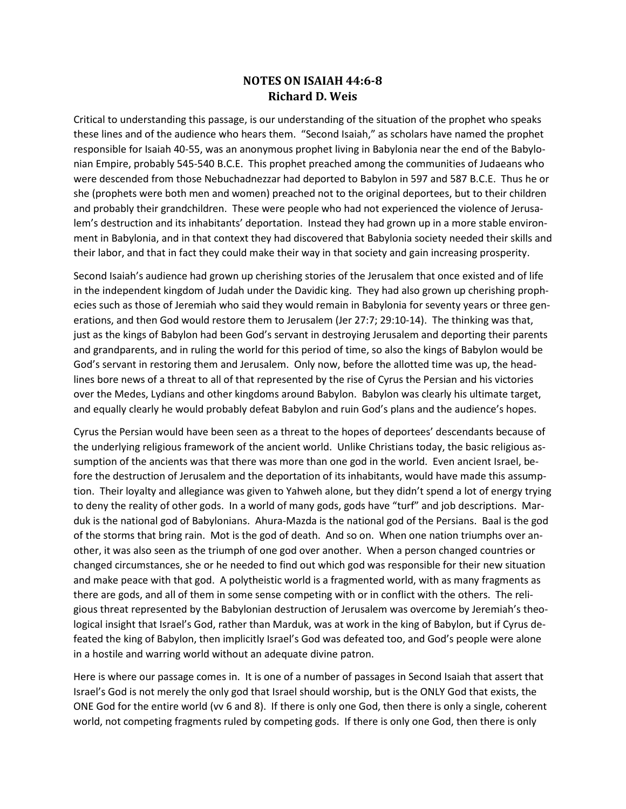## **NOTES ON ISAIAH 44:6-8 Richard D. Weis**

Critical to understanding this passage, is our understanding of the situation of the prophet who speaks these lines and of the audience who hears them. "Second Isaiah," as scholars have named the prophet responsible for Isaiah 40-55, was an anonymous prophet living in Babylonia near the end of the Babylonian Empire, probably 545-540 B.C.E. This prophet preached among the communities of Judaeans who were descended from those Nebuchadnezzar had deported to Babylon in 597 and 587 B.C.E. Thus he or she (prophets were both men and women) preached not to the original deportees, but to their children and probably their grandchildren. These were people who had not experienced the violence of Jerusalem's destruction and its inhabitants' deportation. Instead they had grown up in a more stable environment in Babylonia, and in that context they had discovered that Babylonia society needed their skills and their labor, and that in fact they could make their way in that society and gain increasing prosperity.

Second Isaiah's audience had grown up cherishing stories of the Jerusalem that once existed and of life in the independent kingdom of Judah under the Davidic king. They had also grown up cherishing prophecies such as those of Jeremiah who said they would remain in Babylonia for seventy years or three generations, and then God would restore them to Jerusalem (Jer 27:7; 29:10-14). The thinking was that, just as the kings of Babylon had been God's servant in destroying Jerusalem and deporting their parents and grandparents, and in ruling the world for this period of time, so also the kings of Babylon would be God's servant in restoring them and Jerusalem. Only now, before the allotted time was up, the headlines bore news of a threat to all of that represented by the rise of Cyrus the Persian and his victories over the Medes, Lydians and other kingdoms around Babylon. Babylon was clearly his ultimate target, and equally clearly he would probably defeat Babylon and ruin God's plans and the audience's hopes.

Cyrus the Persian would have been seen as a threat to the hopes of deportees' descendants because of the underlying religious framework of the ancient world. Unlike Christians today, the basic religious assumption of the ancients was that there was more than one god in the world. Even ancient Israel, before the destruction of Jerusalem and the deportation of its inhabitants, would have made this assumption. Their loyalty and allegiance was given to Yahweh alone, but they didn't spend a lot of energy trying to deny the reality of other gods. In a world of many gods, gods have "turf" and job descriptions. Marduk is the national god of Babylonians. Ahura-Mazda is the national god of the Persians. Baal is the god of the storms that bring rain. Mot is the god of death. And so on. When one nation triumphs over another, it was also seen as the triumph of one god over another. When a person changed countries or changed circumstances, she or he needed to find out which god was responsible for their new situation and make peace with that god. A polytheistic world is a fragmented world, with as many fragments as there are gods, and all of them in some sense competing with or in conflict with the others. The religious threat represented by the Babylonian destruction of Jerusalem was overcome by Jeremiah's theological insight that Israel's God, rather than Marduk, was at work in the king of Babylon, but if Cyrus defeated the king of Babylon, then implicitly Israel's God was defeated too, and God's people were alone in a hostile and warring world without an adequate divine patron.

Here is where our passage comes in. It is one of a number of passages in Second Isaiah that assert that Israel's God is not merely the only god that Israel should worship, but is the ONLY God that exists, the ONE God for the entire world (vv 6 and 8). If there is only one God, then there is only a single, coherent world, not competing fragments ruled by competing gods. If there is only one God, then there is only